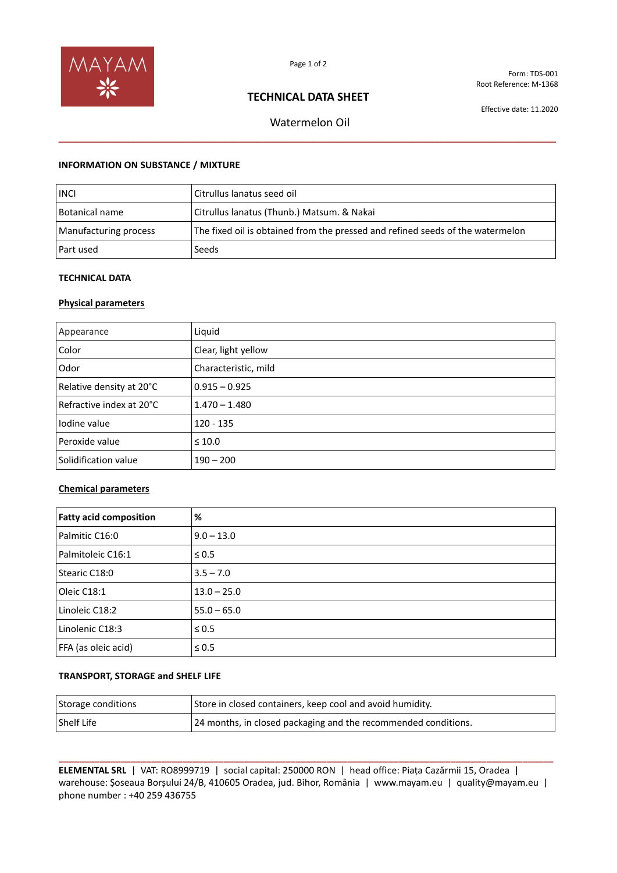

Form: TDS-001 Root Reference: M-1368

# **TECHNICAL DATA SHEET**

Effective date: 11.2020

Watermelon Oil **\_\_\_\_\_\_\_\_\_\_\_\_\_\_\_\_\_\_\_\_\_\_\_\_\_\_\_\_\_\_\_\_\_\_\_\_\_\_\_\_\_\_\_\_\_\_\_\_\_\_\_\_\_\_\_\_\_\_\_\_\_\_\_\_\_\_\_\_\_\_\_\_\_\_\_\_\_\_\_\_**

## **INFORMATION ON SUBSTANCE / MIXTURE**

| <b>INCI</b>           | Citrullus lanatus seed oil                                                     |
|-----------------------|--------------------------------------------------------------------------------|
| <b>Botanical name</b> | Citrullus lanatus (Thunb.) Matsum. & Nakai                                     |
| Manufacturing process | The fixed oil is obtained from the pressed and refined seeds of the watermelon |
| l Part used           | Seeds                                                                          |

## **TECHNICAL DATA**

## **Physical parameters**

| Appearance                 | Liquid               |
|----------------------------|----------------------|
| Color                      | Clear, light yellow  |
| Odor                       | Characteristic, mild |
| Relative density at 20°C   | $0.915 - 0.925$      |
| l Refractive index at 20°C | $1.470 - 1.480$      |
| Iodine value               | $120 - 135$          |
| Peroxide value             | $\leq 10.0$          |
| Solidification value       | $190 - 200$          |

### **Chemical parameters**

| <b>Fatty acid composition</b> | %             |
|-------------------------------|---------------|
| Palmitic C16:0                | $9.0 - 13.0$  |
| Palmitoleic C16:1             | $\leq 0.5$    |
| Stearic C18:0                 | $3.5 - 7.0$   |
| Oleic C18:1                   | $13.0 - 25.0$ |
| Linoleic C18:2                | $55.0 - 65.0$ |
| Linolenic C18:3               | $\leq 0.5$    |
| FFA (as oleic acid)           | $\leq 0.5$    |

## **TRANSPORT, STORAGE and SHELF LIFE**

| Storage conditions | Store in closed containers, keep cool and avoid humidity.      |
|--------------------|----------------------------------------------------------------|
| <b>Shelf Life</b>  | 24 months, in closed packaging and the recommended conditions. |

**\_\_\_\_\_\_\_\_\_\_\_\_\_\_\_\_\_\_\_\_\_\_\_\_\_\_\_\_\_\_\_\_\_\_\_\_\_\_\_\_\_\_\_\_\_\_\_\_\_\_\_\_\_\_\_\_\_\_\_\_\_\_\_\_\_\_\_\_\_\_\_\_\_\_\_\_\_\_\_\_\_\_\_\_\_\_\_\_\_\_\_\_\_\_\_\_ ELEMENTAL SRL** | VAT: RO8999719 | social capital: 250000 RON | head office: Piața Cazărmii 15, Oradea | warehouse: Șoseaua Borșului 24/B, 410605 Oradea, jud. Bihor, România | www.mayam.eu | quality@mayam.eu | phone number : +40 259 436755